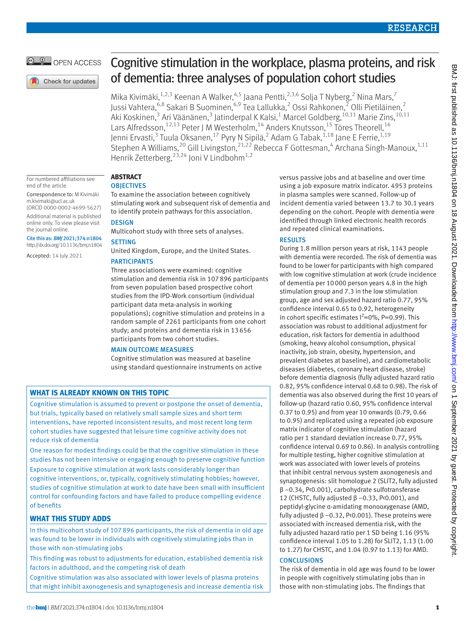# OPEN ACCESS

# Cognitive stimulation in the workplace, plasma proteins, and risk of dementia: three analyses of population cohort studies

Mika Kivimäki,<sup>1,2,3</sup> Keenan A Walker,<sup>4,5</sup> Jaana Pentti,<sup>2,3,6</sup> Solja T Nyberg,<sup>2</sup> Nina Mars,<sup>7</sup> Jussi Vahtera,<sup>6,8</sup> Sakari B Suominen,<sup>6,9</sup> Tea Lallukka,<sup>2</sup> Ossi Rahkonen,<sup>2</sup> Olli Pietiläinen,<sup>2</sup> Aki Koskinen,<sup>3</sup> Ari Väänänen,<sup>3</sup> Jatinderpal K Kalsi,<sup>1</sup> Marcel Goldberg,<sup>10,11</sup> Marie Zins,<sup>10,11</sup> Lars Alfredsson,  $^{12,13}$  Peter J M Westerholm,  $^{14}$  Anders Knutsson,  $^{15}$  Töres Theorell,  $^{16}$ Jenni Ervasti,<sup>3</sup> Tuula Oksanen,<sup>17</sup> Pyry N Sipilä,<sup>2</sup> Adam G Tabak,<sup>1,18</sup> Jane E Ferrie,<sup>1,19</sup> Stephen A Williams,<sup>20</sup> Gill Livingston,<sup>21,22</sup> Rebecca F Gottesman,<sup>4</sup> Archana Singh-Manoux,<sup>1,11</sup> Henrik Zetterberg, <sup>23,24</sup> Joni V Lindbohm<sup>1,2</sup>

For numbered affiliations see end of the article

Correspondence to: M Kivimäki [m.kivimaki@ucl.ac.uk](mailto:m.kivimaki@ucl.ac.uk)

(ORCID [0000-0002-4699-5627](https://orcid.org/0000-0002-4699-5627)) Additional material is published online only. To view please visit the journal online.

Cite this as: *BMJ* 2021;374:n1804 http://dx.doi.org/10.1136/bmj.n1804

Accepted: 14 July 2021

# **ABSTRACT**

#### **OBJECTIVES**

To examine the association between cognitively stimulating work and subsequent risk of dementia and to identify protein pathways for this association.

# **DESIGN**

Multicohort study with three sets of analyses.

# **SETTING**

United Kingdom, Europe, and the United States.

# **PARTICIPANTS**

Three associations were examined: cognitive stimulation and dementia risk in 107896 participants from seven population based prospective cohort studies from the IPD-Work consortium (individual participant data meta-analysis in working populations); cognitive stimulation and proteins in a random sample of 2261 participants from one cohort study; and proteins and dementia risk in 13656 participants from two cohort studies.

### MAIN OUTCOME MEASURES

Cognitive stimulation was measured at baseline using standard questionnaire instruments on active

# **WHAT IS ALREADY KNOWN ON THIS TOPIC**

Cognitive stimulation is assumed to prevent or postpone the onset of dementia, but trials, typically based on relatively small sample sizes and short term interventions, have reported inconsistent results, and most recent long term cohort studies have suggested that leisure time cognitive activity does not reduce risk of dementia

One reason for modest findings could be that the cognitive stimulation in these studies has not been intensive or engaging enough to preserve cognitive function

Exposure to cognitive stimulation at work lasts considerably longer than cognitive interventions, or, typically, cognitively stimulating hobbies; however, studies of cognitive stimulation at work to date have been small with insufficient control for confounding factors and have failed to produce compelling evidence of benefits

# **WHAT THIS STUDY ADDS**

In this multicohort study of 107 896 participants, the risk of dementia in old age was found to be lower in individuals with cognitively stimulating jobs than in those with non-stimulating jobs

This finding was robust to adjustments for education, established dementia risk factors in adulthood, and the competing risk of death

Cognitive stimulation was also associated with lower levels of plasma proteins that might inhibit axonogenesis and synaptogenesis and increase dementia risk versus passive jobs and at baseline and over time using a job exposure matrix indicator. 4953 proteins in plasma samples were scanned. Follow-up of incident dementia varied between 13.7 to 30.1 years depending on the cohort. People with dementia were identified through linked electronic health records and repeated clinical examinations.

# RESULTS

During 1.8 million person years at risk, 1143 people with dementia were recorded. The risk of dementia was found to be lower for participants with high compared with low cognitive stimulation at work (crude incidence of dementia per 10000 person years 4.8 in the high stimulation group and 7.3 in the low stimulation group, age and sex adjusted hazard ratio 0.77, 95% confidence interval 0.65 to 0.92, heterogeneity in cohort specific estimates  $I^2$ =0%, P=0.99). This association was robust to additional adjustment for education, risk factors for dementia in adulthood (smoking, heavy alcohol consumption, physical inactivity, job strain, obesity, hypertension, and prevalent diabetes at baseline), and cardiometabolic diseases (diabetes, coronary heart disease, stroke) before dementia diagnosis (fully adjusted hazard ratio 0.82, 95% confidence interval 0.68 to 0.98). The risk of dementia was also observed during the first 10 years of follow-up (hazard ratio 0.60, 95% confidence interval 0.37 to 0.95) and from year 10 onwards (0.79, 0.66 to 0.95) and replicated using a repeated job exposure matrix indicator of cognitive stimulation (hazard ratio per 1 standard deviation increase 0.77, 95% confidence interval 0.69 to 0.86). In analysis controlling for multiple testing, higher cognitive stimulation at work was associated with lower levels of proteins that inhibit central nervous system axonogenesis and synaptogenesis: slit homologue 2 (SLIT2, fully adjusted β −0.34, P<0.001), carbohydrate sulfotransferase 12 (CHSTC, fully adjusted β −0.33, P<0.001), and peptidyl-glycine α-amidating monooxygenase (AMD, fully adjusted  $\beta$  –0.32, P<0.001). These proteins were associated with increased dementia risk, with the fully adjusted hazard ratio per 1 SD being 1.16 (95% confidence interval 1.05 to 1.28) for SLIT2, 1.13 (1.00 to 1.27) for CHSTC, and 1.04 (0.97 to 1.13) for AMD.

# **CONCLUSIONS**

The risk of dementia in old age was found to be lower in people with cognitively stimulating jobs than in those with non-stimulating jobs. The findings that

Check for updates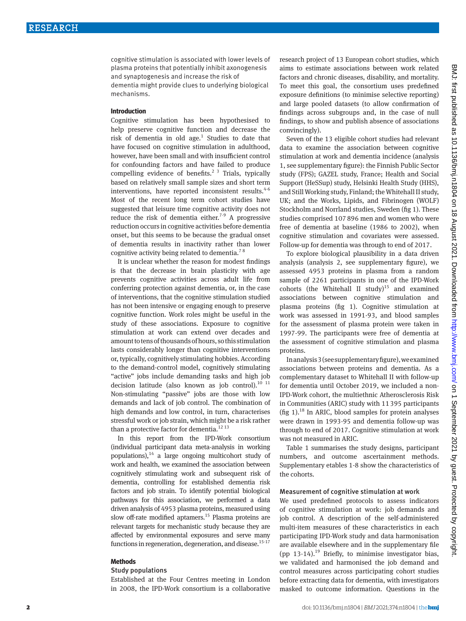cognitive stimulation is associated with lower levels of plasma proteins that potentially inhibit axonogenesis and synaptogenesis and increase the risk of dementia might provide clues to underlying biological

mechanisms.

#### **Introduction**

Cognitive stimulation has been hypothesised to help preserve cognitive function and decrease the risk of dementia in old age. $1$  Studies to date that have focused on cognitive stimulation in adulthood, however, have been small and with insufficient control for confounding factors and have failed to produce compelling evidence of benefits.<sup>2 3</sup> Trials, typically based on relatively small sample sizes and short term interventions, have reported inconsistent results. $4-6$ Most of the recent long term cohort studies have suggested that leisure time cognitive activity does not reduce the risk of dementia either.<sup>7-9</sup> A progressive reduction occurs in cognitive activities before dementia onset, but this seems to be because the gradual onset of dementia results in inactivity rather than lower cognitive activity being related to dementia.<sup>78</sup>

It is unclear whether the reason for modest findings is that the decrease in brain plasticity with age prevents cognitive activities across adult life from conferring protection against dementia, or, in the case of interventions, that the cognitive stimulation studied has not been intensive or engaging enough to preserve cognitive function. Work roles might be useful in the study of these associations. Exposure to cognitive stimulation at work can extend over decades and amount to tens of thousands of hours, so this stimulation lasts considerably longer than cognitive interventions or, typically, cognitively stimulating hobbies. According to the demand-control model, cognitively stimulating "active" jobs include demanding tasks and high job decision latitude (also known as job control).<sup>10 11</sup> Non-stimulating "passive" jobs are those with low demands and lack of job control. The combination of high demands and low control, in turn, characterises stressful work or job strain, which might be a risk rather than a protective factor for dementia.<sup>12 13</sup>

In this report from the IPD-Work consortium (individual participant data meta-analysis in working populations),  $14$  a large ongoing multicohort study of work and health, we examined the association between cognitively stimulating work and subsequent risk of dementia, controlling for established dementia risk factors and job strain. To identify potential biological pathways for this association, we performed a data driven analysis of 4953 plasma proteins, measured using slow off-rate modified aptamers.<sup>15</sup> Plasma proteins are relevant targets for mechanistic study because they are affected by environmental exposures and serve many functions in regeneration, degeneration, and disease.<sup>15-17</sup>

#### **Methods**

#### Study populations

Established at the Four Centres meeting in London in 2008, the IPD-Work consortium is a collaborative research project of 13 European cohort studies, which aims to estimate associations between work related factors and chronic diseases, disability, and mortality. To meet this goal, the consortium uses predefined exposure definitions (to minimise selective reporting) and large pooled datasets (to allow confirmation of findings across subgroups and, in the case of null findings, to show and publish absence of associations convincingly).

Seven of the 13 eligible cohort studies had relevant data to examine the association between cognitive stimulation at work and dementia incidence (analysis 1, see supplementary figure): the Finnish Public Sector study (FPS); GAZEL study, France; Health and Social Support (HeSSup) study, Helsinki Health Study (HHS), and Still Working study, Finland; the Whitehall II study, UK; and the Works, Lipids, and Fibrinogen (WOLF) Stockholm and Norrland studies, Sweden (fig 1). These studies comprised 107896 men and women who were free of dementia at baseline (1986 to 2002), when cognitive stimulation and covariates were assessed. Follow-up for dementia was through to end of 2017.

To explore biological plausibility in a data driven analysis (analysis 2, see supplementary figure), we assessed 4953 proteins in plasma from a random sample of 2261 participants in one of the IPD-Work cohorts (the Whitehall II study) $15$  and examined associations between cognitive stimulation and plasma proteins (fig 1). Cognitive stimulation at work was assessed in 1991-93, and blood samples for the assessment of plasma protein were taken in 1997-99. The participants were free of dementia at the assessment of cognitive stimulation and plasma proteins.

In analysis 3 (see supplementary figure), we examined associations between proteins and dementia. As a complementary dataset to Whitehall II with follow-up for dementia until October 2019, we included a non-IPD-Work cohort, the multiethnic Atherosclerosis Risk in Communities (ARIC) study with 11395 participants (fig 1).<sup>18</sup> In ARIC, blood samples for protein analyses were drawn in 1993-95 and dementia follow-up was through to end of 2017. Cognitive stimulation at work was not measured in ARIC.

Table 1 summarises the study designs, participant numbers, and outcome ascertainment methods. Supplementary etables 1-8 show the characteristics of the cohorts.

#### Measurement of cognitive stimulation at work

We used predefined protocols to assess indicators of cognitive stimulation at work: job demands and job control. A description of the self-administered multi-item measures of these characteristics in each participating IPD-Work study and data harmonisation are available elsewhere and in the supplementary file (pp 13-14).<sup>19</sup> Briefly, to minimise investigator bias, we validated and harmonised the job demand and control measures across participating cohort studies before extracting data for dementia, with investigators masked to outcome information. Questions in the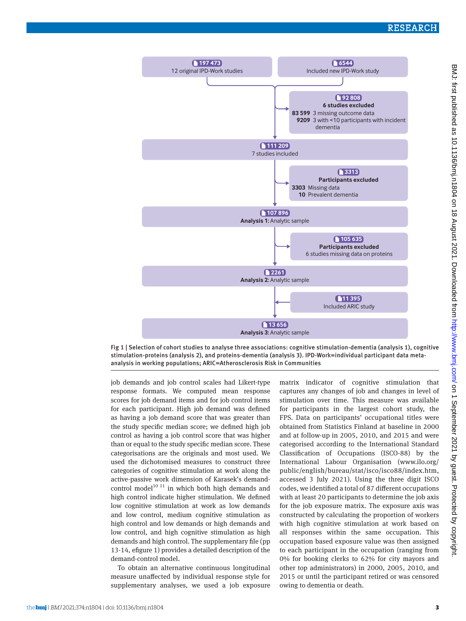

Fig 1 | Selection of cohort studies to analyse three associations: cognitive stimulation-dementia (analysis 1), cognitive stimulation-proteins (analysis 2), and proteins-dementia (analysis 3). IPD-Work=individual participant data metaanalysis in working populations; ARIC=Atherosclerosis Risk in Communities

job demands and job control scales had Likert-type response formats. We computed mean response scores for job demand items and for job control items for each participant. High job demand was defined as having a job demand score that was greater than the study specific median score; we defined high job control as having a job control score that was higher than or equal to the study specific median score. These categorisations are the originals and most used. We used the dichotomised measures to construct three categories of cognitive stimulation at work along the active-passive work dimension of Karasek's demandcontrol model $10^{10}$  <sup>11</sup> in which both high demands and high control indicate higher stimulation. We defined low cognitive stimulation at work as low demands and low control, medium cognitive stimulation as high control and low demands or high demands and low control, and high cognitive stimulation as high demands and high control. The supplementary file (pp 13-14, efigure 1) provides a detailed description of the demand-control model.

To obtain an alternative continuous longitudinal measure unaffected by individual response style for supplementary analyses, we used a job exposure matrix indicator of cognitive stimulation that captures any changes of job and changes in level of stimulation over time. This measure was available for participants in the largest cohort study, the FPS. Data on participants' occupational titles were obtained from Statistics Finland at baseline in 2000 and at follow-up in 2005, 2010, and 2015 and were categorised according to the International Standard Classification of Occupations (ISCO-88) by the International Labour Organisation [\(www.ilo.org/](http://www.ilo.org/public/english/bureau/stat/isco/isco88/index.htm) [public/english/bureau/stat/isco/isco88/index.htm,](http://www.ilo.org/public/english/bureau/stat/isco/isco88/index.htm) accessed 3 July 2021). Using the three digit ISCO codes, we identified a total of 87 different occupations with at least 20 participants to determine the job axis for the job exposure matrix. The exposure axis was constructed by calculating the proportion of workers with high cognitive stimulation at work based on all responses within the same occupation. This occupation based exposure value was then assigned to each participant in the occupation (ranging from 0% for booking clerks to 62% for city mayors and other top administrators) in 2000, 2005, 2010, and 2015 or until the participant retired or was censored owing to dementia or death.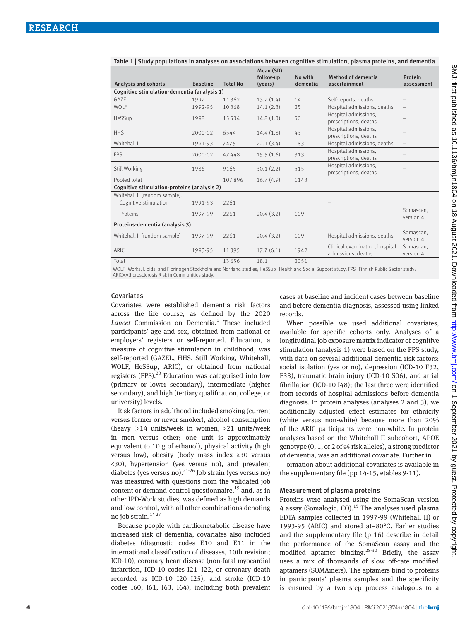| Mean (SD)<br>follow-up<br>No with<br><b>Method of dementia</b><br>Protein<br>Analysis and cohorts<br><b>Baseline</b><br><b>Total No</b><br>(years)<br>dementia<br>ascertainment<br>assessment<br>Cognitive stimulation-dementia (analysis 1)<br>Self-reports, deaths<br>GAZEL<br>13.7(1.4)<br>1997<br>11362<br>14<br>WOLF<br>14.1(2.3)<br>25<br>Hospital admissions, deaths<br>1992-95<br>10368<br>Hospital admissions,<br>50<br>HeSSup<br>14.8(1.3)<br>1998<br>15534<br>prescriptions, deaths<br>Hospital admissions.<br><b>HHS</b><br>14.4(1.8)<br>43<br>2000-02<br>6544<br>prescriptions, deaths<br>Whitehall II<br>22.1(3.4)<br>Hospital admissions, deaths<br>183<br>1991-93<br>7475<br>Hospital admissions,<br>15.5(1.6)<br><b>FPS</b><br>313<br>2000-02<br>47448<br>prescriptions, deaths<br>Hospital admissions,<br>30.1(2.2)<br>Still Working<br>1986<br>9165<br>515<br>prescriptions, deaths<br>Pooled total<br>107896<br>16.7(4.9)<br>1143<br>Cognitive stimulation-proteins (analysis 2)<br>Whitehall II (random sample):<br>Cognitive stimulation<br>1991-93<br>2261<br>Somascan,<br>20.4(3.2)<br>Proteins<br>109<br>1997-99<br>2261<br>version 4<br>Proteins-dementia (analysis 3)<br>Somascan,<br>Whitehall II (random sample)<br>20.4(3.2)<br>Hospital admissions, deaths<br>1997-99<br>2261<br>109<br>version 4<br>Clinical examination, hospital<br>Somascan.<br>ARIC<br>17.7(6.1)<br>1993-95<br>11395<br>1942<br>admissions, deaths<br>version 4<br>Total<br>13656<br>18.1<br>2051<br>$\frac{1}{2}$<br>$\sim$ $\sim$ $\sim$ $\sim$ $\sim$<br>THE FIRST HOOP HILL LOCATE A FIRST AND LOCATED AT A FIL | Table 1   Study populations in analyses on associations between cognitive stimulation, plasma proteins, and dementia |  |  |  |  |  |  |  |  |
|-------------------------------------------------------------------------------------------------------------------------------------------------------------------------------------------------------------------------------------------------------------------------------------------------------------------------------------------------------------------------------------------------------------------------------------------------------------------------------------------------------------------------------------------------------------------------------------------------------------------------------------------------------------------------------------------------------------------------------------------------------------------------------------------------------------------------------------------------------------------------------------------------------------------------------------------------------------------------------------------------------------------------------------------------------------------------------------------------------------------------------------------------------------------------------------------------------------------------------------------------------------------------------------------------------------------------------------------------------------------------------------------------------------------------------------------------------------------------------------------------------------------------------------------------------------------------------------------------------------------------|----------------------------------------------------------------------------------------------------------------------|--|--|--|--|--|--|--|--|
|                                                                                                                                                                                                                                                                                                                                                                                                                                                                                                                                                                                                                                                                                                                                                                                                                                                                                                                                                                                                                                                                                                                                                                                                                                                                                                                                                                                                                                                                                                                                                                                                                         |                                                                                                                      |  |  |  |  |  |  |  |  |
|                                                                                                                                                                                                                                                                                                                                                                                                                                                                                                                                                                                                                                                                                                                                                                                                                                                                                                                                                                                                                                                                                                                                                                                                                                                                                                                                                                                                                                                                                                                                                                                                                         |                                                                                                                      |  |  |  |  |  |  |  |  |
|                                                                                                                                                                                                                                                                                                                                                                                                                                                                                                                                                                                                                                                                                                                                                                                                                                                                                                                                                                                                                                                                                                                                                                                                                                                                                                                                                                                                                                                                                                                                                                                                                         |                                                                                                                      |  |  |  |  |  |  |  |  |
|                                                                                                                                                                                                                                                                                                                                                                                                                                                                                                                                                                                                                                                                                                                                                                                                                                                                                                                                                                                                                                                                                                                                                                                                                                                                                                                                                                                                                                                                                                                                                                                                                         |                                                                                                                      |  |  |  |  |  |  |  |  |
|                                                                                                                                                                                                                                                                                                                                                                                                                                                                                                                                                                                                                                                                                                                                                                                                                                                                                                                                                                                                                                                                                                                                                                                                                                                                                                                                                                                                                                                                                                                                                                                                                         |                                                                                                                      |  |  |  |  |  |  |  |  |
|                                                                                                                                                                                                                                                                                                                                                                                                                                                                                                                                                                                                                                                                                                                                                                                                                                                                                                                                                                                                                                                                                                                                                                                                                                                                                                                                                                                                                                                                                                                                                                                                                         |                                                                                                                      |  |  |  |  |  |  |  |  |
|                                                                                                                                                                                                                                                                                                                                                                                                                                                                                                                                                                                                                                                                                                                                                                                                                                                                                                                                                                                                                                                                                                                                                                                                                                                                                                                                                                                                                                                                                                                                                                                                                         |                                                                                                                      |  |  |  |  |  |  |  |  |
|                                                                                                                                                                                                                                                                                                                                                                                                                                                                                                                                                                                                                                                                                                                                                                                                                                                                                                                                                                                                                                                                                                                                                                                                                                                                                                                                                                                                                                                                                                                                                                                                                         |                                                                                                                      |  |  |  |  |  |  |  |  |
|                                                                                                                                                                                                                                                                                                                                                                                                                                                                                                                                                                                                                                                                                                                                                                                                                                                                                                                                                                                                                                                                                                                                                                                                                                                                                                                                                                                                                                                                                                                                                                                                                         |                                                                                                                      |  |  |  |  |  |  |  |  |
|                                                                                                                                                                                                                                                                                                                                                                                                                                                                                                                                                                                                                                                                                                                                                                                                                                                                                                                                                                                                                                                                                                                                                                                                                                                                                                                                                                                                                                                                                                                                                                                                                         |                                                                                                                      |  |  |  |  |  |  |  |  |
|                                                                                                                                                                                                                                                                                                                                                                                                                                                                                                                                                                                                                                                                                                                                                                                                                                                                                                                                                                                                                                                                                                                                                                                                                                                                                                                                                                                                                                                                                                                                                                                                                         |                                                                                                                      |  |  |  |  |  |  |  |  |
|                                                                                                                                                                                                                                                                                                                                                                                                                                                                                                                                                                                                                                                                                                                                                                                                                                                                                                                                                                                                                                                                                                                                                                                                                                                                                                                                                                                                                                                                                                                                                                                                                         |                                                                                                                      |  |  |  |  |  |  |  |  |
|                                                                                                                                                                                                                                                                                                                                                                                                                                                                                                                                                                                                                                                                                                                                                                                                                                                                                                                                                                                                                                                                                                                                                                                                                                                                                                                                                                                                                                                                                                                                                                                                                         |                                                                                                                      |  |  |  |  |  |  |  |  |
|                                                                                                                                                                                                                                                                                                                                                                                                                                                                                                                                                                                                                                                                                                                                                                                                                                                                                                                                                                                                                                                                                                                                                                                                                                                                                                                                                                                                                                                                                                                                                                                                                         |                                                                                                                      |  |  |  |  |  |  |  |  |
|                                                                                                                                                                                                                                                                                                                                                                                                                                                                                                                                                                                                                                                                                                                                                                                                                                                                                                                                                                                                                                                                                                                                                                                                                                                                                                                                                                                                                                                                                                                                                                                                                         |                                                                                                                      |  |  |  |  |  |  |  |  |
|                                                                                                                                                                                                                                                                                                                                                                                                                                                                                                                                                                                                                                                                                                                                                                                                                                                                                                                                                                                                                                                                                                                                                                                                                                                                                                                                                                                                                                                                                                                                                                                                                         |                                                                                                                      |  |  |  |  |  |  |  |  |
|                                                                                                                                                                                                                                                                                                                                                                                                                                                                                                                                                                                                                                                                                                                                                                                                                                                                                                                                                                                                                                                                                                                                                                                                                                                                                                                                                                                                                                                                                                                                                                                                                         |                                                                                                                      |  |  |  |  |  |  |  |  |
|                                                                                                                                                                                                                                                                                                                                                                                                                                                                                                                                                                                                                                                                                                                                                                                                                                                                                                                                                                                                                                                                                                                                                                                                                                                                                                                                                                                                                                                                                                                                                                                                                         |                                                                                                                      |  |  |  |  |  |  |  |  |

WOLF=Works, Lipids, and Fibrinogen Stockholm and Norrland studies; HeSSup=Health and Social Support study; FPS=Finnish Public Sector study; ARIC=Atherosclerosis Risk in Communities study.

#### Covariates

Covariates were established dementia risk factors across the life course, as defined by the 2020 Lancet Commission on Dementia.<sup>1</sup> These included participants' age and sex, obtained from national or employers' registers or self-reported. Education, a measure of cognitive stimulation in childhood, was self-reported (GAZEL, HHS, Still Working, Whitehall, WOLF, HeSSup, ARIC), or obtained from national registers  $(FPS)$ .<sup>20</sup> Education was categorised into low (primary or lower secondary), intermediate (higher secondary), and high (tertiary qualification, college, or university) levels.

Risk factors in adulthood included smoking (current versus former or never smoker), alcohol consumption (heavy (>14 units/week in women, >21 units/week in men versus other; one unit is approximately equivalent to 10 g of ethanol), physical activity (high versus low), obesity (body mass index ≥30 versus <30), hypertension (yes versus no), and prevalent diabetes (yes versus no). $21-26$  Job strain (yes versus no) was measured with questions from the validated job content or demand-control questionnaire,  $19$  and, as in other IPD-Work studies, was defined as high demands and low control, with all other combinations denoting no job strain.14 27

Because people with cardiometabolic disease have increased risk of dementia, covariates also included diabetes (diagnostic codes E10 and E11 in the international classification of diseases, 10th revision; ICD-10), coronary heart disease (non-fatal myocardial infarction, ICD-10 codes I21–I22, or coronary death recorded as ICD-10 I20–I25), and stroke (ICD-10 codes I60, I61, I63, I64), including both prevalent cases at baseline and incident cases between baseline and before dementia diagnosis, assessed using linked records.

When possible we used additional covariates, available for specific cohorts only. Analyses of a longitudinal job exposure matrix indicator of cognitive stimulation (analysis 1) were based on the FPS study, with data on several additional dementia risk factors: social isolation (yes or no), depression (ICD-10 F32, F33), traumatic brain injury (ICD-10 S06), and atrial fibrillation (ICD-10 I48); the last three were identified from records of hospital admissions before dementia diagnosis. In protein analyses (analyses 2 and 3), we additionally adjusted effect estimates for ethnicity (white versus non-white) because more than 20% of the ARIC participants were non-white. In protein analyses based on the Whitehall II subcohort, APOE genotype  $(0, 1, 0$  ar 2 of  $\varepsilon$ 4 risk alleles), a strong predictor of dementia, was an additional covariate. Further in

ormation about additional covariates is available in the supplementary file (pp 14-15, etables 9-11).

#### Measurement of plasma proteins

Proteins were analysed using the SomaScan version 4 assay (Somalogic, CO).<sup>15</sup> The analyses used plasma EDTA samples collected in 1997-99 (Whitehall II) or 1993-95 (ARIC) and stored at−80°C. Earlier studies and the supplementary file (p 16) describe in detail the performance of the SomaScan assay and the modified aptamer binding.28-30 Briefly, the assay uses a mix of thousands of slow off-rate modified aptamers (SOMAmers). The aptamers bind to proteins in participants' plasma samples and the specificity is ensured by a two step process analogous to a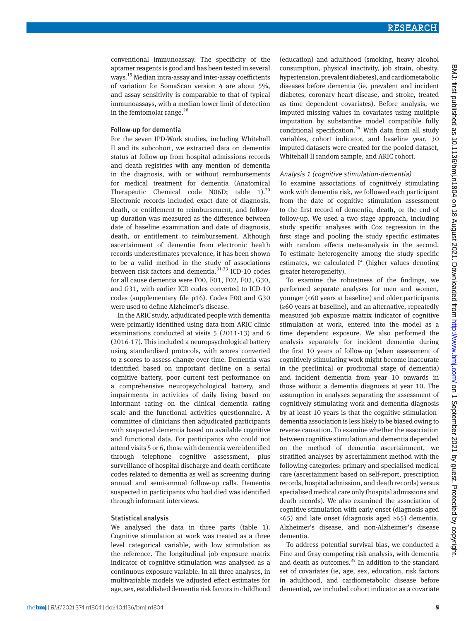conventional immunoassay. The specificity of the aptamer reagents is good and has been tested in several ways.15 Median intra-assay and inter-assay coefficients of variation for SomaScan version 4 are about 5%, and assay sensitivity is comparable to that of typical immunoassays, with a median lower limit of detection in the femtomolar range.<sup>28</sup>

#### Follow-up for dementia

For the seven IPD-Work studies, including Whitehall II and its subcohort, we extracted data on dementia status at follow-up from hospital admissions records and death registries with any mention of dementia in the diagnosis, with or without reimbursements for medical treatment for dementia (Anatomical Therapeutic Chemical code N06D; table  $1$ ).<sup>20</sup> Electronic records included exact date of diagnosis, death, or entitlement to reimbursement, and followup duration was measured as the difference between date of baseline examination and date of diagnosis, death, or entitlement to reimbursement. Although ascertainment of dementia from electronic health records underestimates prevalence, it has been shown to be a valid method in the study of associations between risk factors and dementia. $31-33$  ICD-10 codes for all cause dementia were F00, F01, F02, F03, G30, and G31, with earlier ICD codes converted to ICD-10 codes (supplementary file p16). Codes F00 and G30 were used to define Alzheimer's disease.

In the ARIC study, adjudicated people with dementia were primarily identified using data from ARIC clinic examinations conducted at visits 5 (2011-13) and 6 (2016-17). This included a neuropsychological battery using standardised protocols, with scores converted to z scores to assess change over time. Dementia was identified based on important decline on a serial cognitive battery, poor current test performance on a comprehensive neuropsychological battery, and impairments in activities of daily living based on informant rating on the clinical dementia rating scale and the functional activities questionnaire. A committee of clinicians then adjudicated participants with suspected dementia based on available cognitive and functional data. For participants who could not attend visits 5 or 6, those with dementia were identified through telephone cognitive assessment, plus surveillance of hospital discharge and death certificate codes related to dementia as well as screening during annual and semi-annual follow-up calls. Dementia suspected in participants who had died was identified through informant interviews.

#### Statistical analysis

We analysed the data in three parts (table 1). Cognitive stimulation at work was treated as a three level categorical variable, with low stimulation as the reference. The longitudinal job exposure matrix indicator of cognitive stimulation was analysed as a continuous exposure variable. In all three analyses, in multivariable models we adjusted effect estimates for age, sex, established dementia risk factors in childhood (education) and adulthood (smoking, heavy alcohol consumption, physical inactivity, job strain, obesity, hypertension, prevalent diabetes), and cardiometabolic diseases before dementia (ie, prevalent and incident diabetes, coronary heart disease, and stroke, treated as time dependent covariates). Before analysis, we imputed missing values in covariates using multiple imputation by substantive model compatible fully conditional specification.<sup>34</sup> With data from all study variables, cohort indicator, and baseline year, 30 imputed datasets were created for the pooled dataset, Whitehall II random sample, and ARIC cohort.

#### Analysis 1 (cognitive stimulation-dementia)

To examine associations of cognitively stimulating work with dementia risk, we followed each participant from the date of cognitive stimulation assessment to the first record of dementia, death, or the end of follow-up. We used a two stage approach, including study specific analyses with Cox regression in the first stage and pooling the study specific estimates with random effects meta-analysis in the second. To estimate heterogeneity among the study specific estimates, we calculated  $I^2$  (higher values denoting greater heterogeneity).

To examine the robustness of the findings, we performed separate analyses for men and women, younger (<60 years at baseline) and older participants (≥60 years at baseline), and an alternative, repeatedly measured job exposure matrix indicator of cognitive stimulation at work, entered into the model as a time dependent exposure. We also performed the analysis separately for incident dementia during the first 10 years of follow-up (when assessment of cognitively stimulating work might become inaccurate in the preclinical or prodromal stage of dementia) and incident dementia from year 10 onwards in those without a dementia diagnosis at year 10. The assumption in analyses separating the assessment of cognitively stimulating work and dementia diagnosis by at least 10 years is that the cognitive stimulationdementia association is less likely to be biased owing to reverse causation. To examine whether the association between cognitive stimulation and dementia depended on the method of dementia ascertainment, we stratified analyses by ascertainment method with the following categories: primary and specialised medical care (ascertainment based on self-report, prescription records, hospital admission, and death records) versus specialised medical care only (hospital admissions and death records). We also examined the association of cognitive stimulation with early onset (diagnosis aged <65) and late onset (diagnosis aged ≥65) dementia, Alzheimer's disease, and non-Alzheimer's disease dementia.

To address potential survival bias, we conducted a Fine and Gray competing risk analysis, with dementia and death as outcomes.<sup>35</sup> In addition to the standard set of covariates (ie, age, sex, education, risk factors in adulthood, and cardiometabolic disease before dementia), we included cohort indicator as a covariate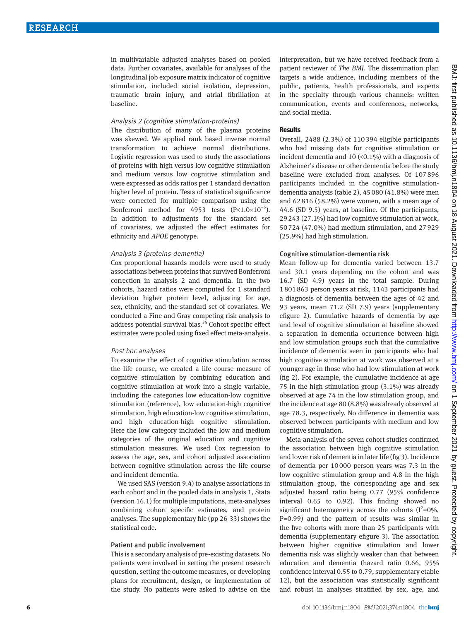in multivariable adjusted analyses based on pooled data. Further covariates, available for analyses of the longitudinal job exposure matrix indicator of cognitive stimulation, included social isolation, depression, traumatic brain injury, and atrial fibrillation at baseline.

#### Analysis 2 (cognitive stimulation-proteins)

The distribution of many of the plasma proteins was skewed. We applied rank based inverse normal transformation to achieve normal distributions. Logistic regression was used to study the associations of proteins with high versus low cognitive stimulation and medium versus low cognitive stimulation and were expressed as odds ratios per 1 standard deviation higher level of protein. Tests of statistical significance were corrected for multiple comparison using the Bonferroni method for 4953 tests  $(P<1.0×10^{-5})$ . In addition to adjustments for the standard set of covariates, we adjusted the effect estimates for ethnicity and *APOE* genotype.

#### Analysis 3 (proteins-dementia)

Cox proportional hazards models were used to study associations between proteins that survived Bonferroni correction in analysis 2 and dementia. In the two cohorts, hazard ratios were computed for 1 standard deviation higher protein level, adjusting for age, sex, ethnicity, and the standard set of covariates. We conducted a Fine and Gray competing risk analysis to address potential survival bias.<sup>35</sup> Cohort specific effect estimates were pooled using fixed effect meta-analysis.

#### Post hoc analyses

To examine the effect of cognitive stimulation across the life course, we created a life course measure of cognitive stimulation by combining education and cognitive stimulation at work into a single variable, including the categories low education-low cognitive stimulation (reference), low education-high cognitive stimulation, high education-low cognitive stimulation, and high education-high cognitive stimulation. Here the low category included the low and medium categories of the original education and cognitive stimulation measures. We used Cox regression to assess the age, sex, and cohort adjusted association between cognitive stimulation across the life course and incident dementia.

We used SAS (version 9.4) to analyse associations in each cohort and in the pooled data in analysis 1, Stata (version 16.1) for multiple imputations, meta-analyses combining cohort specific estimates, and protein analyses. The supplementary file (pp 26-33) shows the statistical code.

#### Patient and public involvement

This is a secondary analysis of pre-existing datasets. No patients were involved in setting the present research question, setting the outcome measures, or developing plans for recruitment, design, or implementation of the study. No patients were asked to advise on the

interpretation, but we have received feedback from a patient reviewer of *The BMJ*. The dissemination plan targets a wide audience, including members of the public, patients, health professionals, and experts in the specialty through various channels: written communication, events and conferences, networks, and social media.

#### **Results**

Overall, 2488 (2.3%) of 110394 eligible participants who had missing data for cognitive stimulation or incident dementia and 10  $({<}0.1\%)$  with a diagnosis of Alzheimer's disease or other dementia before the study baseline were excluded from analyses. Of 107896 participants included in the cognitive stimulationdementia analysis (table 2), 45080 (41.8%) were men and 62816 (58.2%) were women, with a mean age of 44.6 (SD 9.5) years, at baseline. Of the participants, 29243 (27.1%) had low cognitive stimulation at work, 50724 (47.0%) had medium stimulation, and 27929 (25.9%) had high stimulation.

#### Cognitive stimulation-dementia risk

Mean follow-up for dementia varied between 13.7 and 30.1 years depending on the cohort and was 16.7 (SD 4.9) years in the total sample. During 1801863 person years at risk, 1143 participants had a diagnosis of dementia between the ages of 42 and 93 years, mean 71.2 (SD 7.9) years (supplementary efigure 2). Cumulative hazards of dementia by age and level of cognitive stimulation at baseline showed a separation in dementia occurrence between high and low stimulation groups such that the cumulative incidence of dementia seen in participants who had high cognitive stimulation at work was observed at a younger age in those who had low stimulation at work (fig 2). For example, the cumulative incidence at age 75 in the high stimulation group (3.1%) was already observed at age 74 in the low stimulation group, and the incidence at age 80 (8.8%) was already observed at age 78.3, respectively. No difference in dementia was observed between participants with medium and low cognitive stimulation.

Meta-analysis of the seven cohort studies confirmed the association between high cognitive stimulation and lower risk of dementia in later life (fig 3). Incidence of dementia per 10000 person years was 7.3 in the low cognitive stimulation group and 4.8 in the high stimulation group, the corresponding age and sex adjusted hazard ratio being 0.77 (95% confidence interval 0.65 to 0.92). This finding showed no significant heterogeneity across the cohorts  $(I^2=0\%,$ P=0.99) and the pattern of results was similar in the five cohorts with more than 25 participants with dementia (supplementary efigure 3). The association between higher cognitive stimulation and lower dementia risk was slightly weaker than that between education and dementia (hazard ratio 0.66, 95% confidence interval 0.55 to 0.79, supplementary etable 12), but the association was statistically significant and robust in analyses stratified by sex, age, and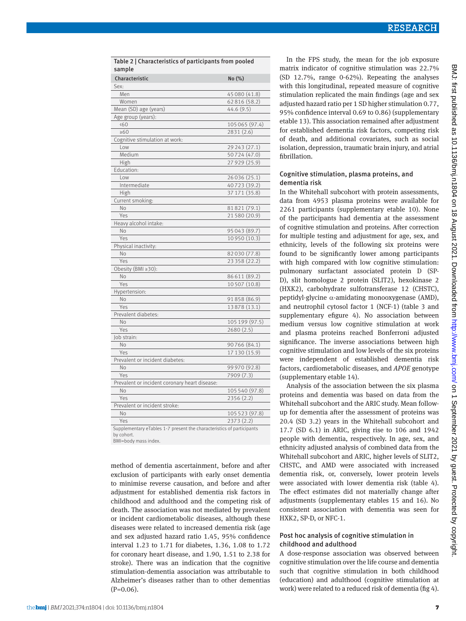| Table 2   Characteristics of participants from pooled<br>sample       |                |  |  |  |  |
|-----------------------------------------------------------------------|----------------|--|--|--|--|
| Characteristic                                                        | No (%)         |  |  |  |  |
| Sex:                                                                  |                |  |  |  |  |
| Men                                                                   | 45 080 (41.8)  |  |  |  |  |
| Women                                                                 | 62816 (58.2)   |  |  |  |  |
| Mean (SD) age (years)                                                 | 44.6 (9.5)     |  |  |  |  |
| Age group (years):                                                    |                |  |  |  |  |
| 560                                                                   | 105065 (97.4)  |  |  |  |  |
| $\geq 60$                                                             | 2831 (2.6)     |  |  |  |  |
| Cognitive stimulation at work:                                        |                |  |  |  |  |
| Low                                                                   | 29 243 (27.1)  |  |  |  |  |
| Medium                                                                | 50724 (47.0)   |  |  |  |  |
| High                                                                  | 27 929 (25.9)  |  |  |  |  |
| Education:                                                            |                |  |  |  |  |
| Low                                                                   | 26 0 36 (25.1) |  |  |  |  |
| Intermediate                                                          | 40723 (39.2)   |  |  |  |  |
| High                                                                  | 37 171 (35.8)  |  |  |  |  |
| Current smoking:                                                      |                |  |  |  |  |
| No                                                                    | 81821 (79.1)   |  |  |  |  |
| Yes                                                                   | 21580 (20.9)   |  |  |  |  |
| Heavy alcohol intake:                                                 |                |  |  |  |  |
| <b>No</b>                                                             |                |  |  |  |  |
|                                                                       | 95043 (89.7)   |  |  |  |  |
| Yes                                                                   | 10950 (10.3)   |  |  |  |  |
| Physical inactivity:                                                  |                |  |  |  |  |
| N <sub>o</sub>                                                        | 82030 (77.8)   |  |  |  |  |
| Yes                                                                   | 23358 (22.2)   |  |  |  |  |
| Obesity (BMI ≥30):                                                    |                |  |  |  |  |
| No                                                                    | 86611 (89.2)   |  |  |  |  |
| Yes                                                                   | 10507 (10.8)   |  |  |  |  |
| Hypertension:                                                         |                |  |  |  |  |
| No                                                                    | 91858 (86.9)   |  |  |  |  |
| Yes                                                                   | 13878 (13.1)   |  |  |  |  |
| Prevalent diabetes:                                                   |                |  |  |  |  |
| No                                                                    | 105 199 (97.5) |  |  |  |  |
| Yes                                                                   | 2680 (2.5)     |  |  |  |  |
| Job strain:                                                           |                |  |  |  |  |
| No                                                                    | 90766 (84.1)   |  |  |  |  |
| Yes                                                                   | 17 130 (15.9)  |  |  |  |  |
| Prevalent or incident diabetes:                                       |                |  |  |  |  |
| No                                                                    | 99 970 (92.8)  |  |  |  |  |
| Yes                                                                   | 7909 (7.3)     |  |  |  |  |
| Prevalent or incident coronary heart disease:                         |                |  |  |  |  |
| No                                                                    | 105 540 (97.8) |  |  |  |  |
| Yes                                                                   | 2356 (2.2)     |  |  |  |  |
| Prevalent or incident stroke:                                         |                |  |  |  |  |
| No                                                                    | 105 523 (97.8) |  |  |  |  |
| Yes                                                                   | 2373 (2.2)     |  |  |  |  |
| Supplementary eTables 1-7 present the characteristics of participants |                |  |  |  |  |

by cohort. BMI=body mass index.

method of dementia ascertainment, before and after exclusion of participants with early onset dementia to minimise reverse causation, and before and after adjustment for established dementia risk factors in childhood and adulthood and the competing risk of death. The association was not mediated by prevalent or incident cardiometabolic diseases, although these diseases were related to increased dementia risk (age and sex adjusted hazard ratio 1.45, 95% confidence interval 1.23 to 1.71 for diabetes, 1.36, 1.08 to 1.72 for coronary heart disease, and 1.90, 1.51 to 2.38 for stroke). There was an indication that the cognitive stimulation-dementia association was attributable to Alzheimer's diseases rather than to other dementias  $(P=0.06)$ .

In the FPS study, the mean for the job exposure matrix indicator of cognitive stimulation was 22.7% (SD 12.7%, range 0-62%). Repeating the analyses with this longitudinal, repeated measure of cognitive stimulation replicated the main findings (age and sex adjusted hazard ratio per 1 SD higher stimulation 0.77, 95% confidence interval 0.69 to 0.86) (supplementary etable 13). This association remained after adjustment for established dementia risk factors, competing risk of death, and additional covariates, such as social isolation, depression, traumatic brain injury, and atrial fibrillation.

# Cognitive stimulation, plasma proteins, and dementia risk

In the Whitehall subcohort with protein assessments, data from 4953 plasma proteins were available for 2261 participants (supplementary etable 10). None of the participants had dementia at the assessment of cognitive stimulation and proteins. After correction for multiple testing and adjustment for age, sex, and ethnicity, levels of the following six proteins were found to be significantly lower among participants with high compared with low cognitive stimulation: pulmonary surfactant associated protein D (SP-D), slit homologue 2 protein (SLIT2), hexokinase 2 (HXK2), carbohydrate sulfotransferase 12 (CHSTC), peptidyl-glycine α-amidating monooxygenase (AMD), and neutrophil cytosol factor 1 (NCF-1) (table 3 and supplementary efigure 4). No association between medium versus low cognitive stimulation at work and plasma proteins reached Bonferroni adjusted significance. The inverse associations between high cognitive stimulation and low levels of the six proteins were independent of established dementia risk factors, cardiometabolic diseases, and *APOE* genotype (supplementary etable 14).

Analysis of the association between the six plasma proteins and dementia was based on data from the Whitehall subcohort and the ARIC study. Mean followup for dementia after the assessment of proteins was 20.4 (SD 3.2) years in the Whitehall subcohort and 17.7 (SD 6.1) in ARIC, giving rise to 106 and 1942 people with dementia, respectively. In age, sex, and ethnicity adjusted analysis of combined data from the Whitehall subcohort and ARIC, higher levels of SLIT2, CHSTC, and AMD were associated with increased dementia risk, or, conversely, lower protein levels were associated with lower dementia risk (table 4). The effect estimates did not materially change after adjustments (supplementary etables 15 and 16). No consistent association with dementia was seen for HXK2, SP-D, or NFC-1.

### Post hoc analysis of cognitive stimulation in childhood and adulthood

A dose-response association was observed between cognitive stimulation over the life course and dementia such that cognitive stimulation in both childhood (education) and adulthood (cognitive stimulation at work) were related to a reduced risk of dementia (fig 4).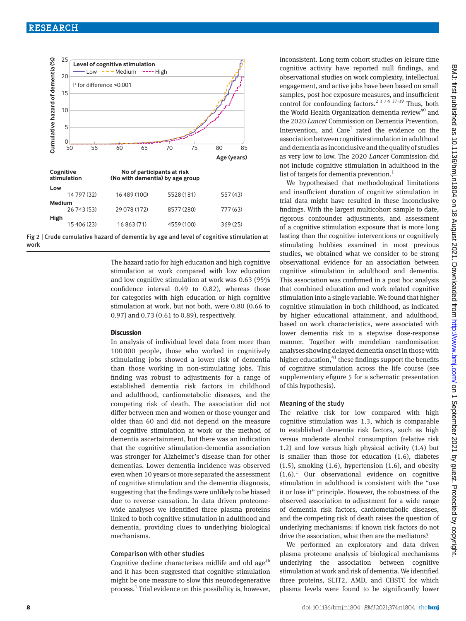



The hazard ratio for high education and high cognitive stimulation at work compared with low education and low cognitive stimulation at work was 0.63 (95% confidence interval 0.49 to 0.82), whereas those for categories with high education or high cognitive stimulation at work, but not both, were 0.80 (0.66 to 0.97) and 0.73 (0.61 to 0.89), respectively.

#### **Discussion**

In analysis of individual level data from more than 100 000 people, those who worked in cognitively stimulating jobs showed a lower risk of dementia than those working in non-stimulating jobs. This finding was robust to adjustments for a range of established dementia risk factors in childhood and adulthood, cardiometabolic diseases, and the competing risk of death. The association did not differ between men and women or those younger and older than 60 and did not depend on the measure of cognitive stimulation at work or the method of dementia ascertainment, but there was an indication that the cognitive stimulation-dementia association was stronger for Alzheimer's disease than for other dementias. Lower dementia incidence was observed even when 10 years or more separated the assessment of cognitive stimulation and the dementia diagnosis, suggesting that the findings were unlikely to be biased due to reverse causation. In data driven proteomewide analyses we identified three plasma proteins linked to both cognitive stimulation in adulthood and dementia, providing clues to underlying biological mechanisms.

#### Comparison with other studies

Cognitive decline characterises midlife and old age<sup>36</sup> and it has been suggested that cognitive stimulation might be one measure to slow this neurodegenerative process.<sup>1</sup> Trial evidence on this possibility is, however, inconsistent. Long term cohort studies on leisure time cognitive activity have reported null findings, and observational studies on work complexity, intellectual engagement, and active jobs have been based on small samples, post hoc exposure measures, and insufficient control for confounding factors.<sup>2 3 7-9 37-39</sup> Thus, both the World Health Organization dementia review<sup>40</sup> and the 2020 *Lancet* Commission on Dementia Prevention, Intervention, and  $Care<sup>1</sup>$  rated the evidence on the association between cognitive stimulation in adulthood and dementia as inconclusive and the quality of studies as very low to low. The 2020 *Lancet* Commission did not include cognitive stimulation in adulthood in the list of targets for dementia prevention.<sup>1</sup>

We hypothesised that methodological limitations and insufficient duration of cognitive stimulation in trial data might have resulted in these inconclusive findings. With the largest multicohort sample to date, rigorous confounder adjustments, and assessment of a cognitive stimulation exposure that is more long lasting than the cognitive interventions or cognitively stimulating hobbies examined in most previous studies, we obtained what we consider to be strong observational evidence for an association between cognitive stimulation in adulthood and dementia. This association was confirmed in a post hoc analysis that combined education and work related cognitive stimulation into a single variable. We found that higher cognitive stimulation in both childhood, as indicated by higher educational attainment, and adulthood, based on work characteristics, were associated with lower dementia risk in a stepwise dose-response manner. Together with mendelian randomisation analyses showing delayed dementia onset in those with higher education,  $41$  these findings support the benefits of cognitive stimulation across the life course (see supplementary efigure 5 for a schematic presentation of this hypothesis).

#### Meaning of the study

The relative risk for low compared with high cognitive stimulation was 1.3, which is comparable to established dementia risk factors, such as high versus moderate alcohol consumption (relative risk 1.2) and low versus high physical activity (1.4) but is smaller than those for education (1.6), diabetes  $(1.5)$ , smoking  $(1.6)$ , hypertension  $(1.6)$ , and obesity  $(1.6).$ <sup>1</sup> Our observational evidence on cognitive stimulation in adulthood is consistent with the "use it or lose it" principle. However, the robustness of the observed association to adjustment for a wide range of dementia risk factors, cardiometabolic diseases, and the competing risk of death raises the question of underlying mechanisms: if known risk factors do not drive the association, what then are the mediators?

We performed an exploratory and data driven plasma proteome analysis of biological mechanisms underlying the association between cognitive stimulation at work and risk of dementia. We identified three proteins, SLIT2, AMD, and CHSTC for which plasma levels were found to be significantly lower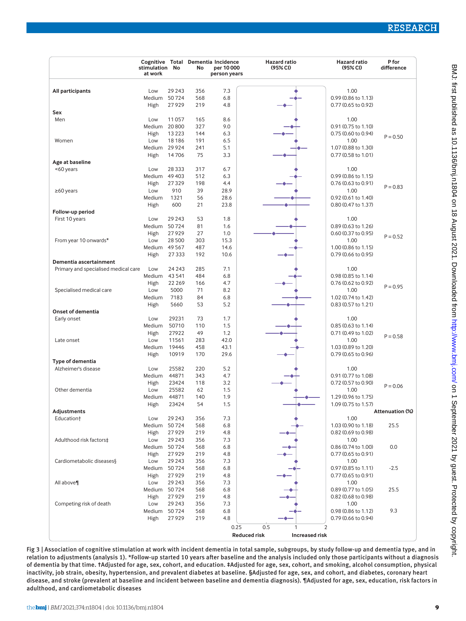|                                      | stimulation No<br>at work |                | No         | Cognitive Total Dementia Incidence<br>per 10 000<br>person years | <b>Hazard ratio</b><br>(95% <sub>C</sub> )   | <b>Hazard ratio</b><br>(95% <sub>C</sub> ) | P for<br>difference |
|--------------------------------------|---------------------------|----------------|------------|------------------------------------------------------------------|----------------------------------------------|--------------------------------------------|---------------------|
|                                      |                           |                |            |                                                                  |                                              |                                            |                     |
| All participants                     | Low                       | 29 243         | 356        | 7.3                                                              |                                              | 1.00                                       |                     |
|                                      | Medium                    | 50724          | 568        | 6.8                                                              |                                              | 0.99 (0.86 to 1.13)                        |                     |
|                                      | High                      | 27929          | 219        | 4.8                                                              |                                              | 0.77 (0.65 to 0.92)                        |                     |
| Sex<br>Men                           | Low                       | 11057          | 165        | 8.6                                                              |                                              | 1.00                                       |                     |
|                                      | Medium                    | 20800          | 327        | 9.0                                                              |                                              | 0.91 (0.75 to 1.10)                        |                     |
|                                      | High                      | 13 2 23        | 144        | 6.3                                                              |                                              | 0.75 (0.60 to 0.94)                        |                     |
| Women                                | Low                       | 18 18 6        | 191        | 6.5                                                              |                                              | 1.00                                       | $P = 0.50$          |
|                                      | Medium                    | 29 9 24        | 241        | 5.1                                                              |                                              | 1.07 (0.88 to 1.30)                        |                     |
|                                      | High                      | 14706          | 75         | 3.3                                                              |                                              | 0.77 (0.58 to 1.01)                        |                     |
| Age at baseline                      |                           |                |            |                                                                  |                                              |                                            |                     |
| <60 years                            | Low                       | 28 3 3 3       | 317        | 6.7                                                              |                                              | 1.00                                       |                     |
|                                      | Medium                    | 49 403         | 512        | 6.3                                                              |                                              | 0.99 (0.86 to 1.15)                        |                     |
|                                      | High                      | 27329          | 198        | 4.4                                                              |                                              | 0.76 (0.63 to 0.91)                        | $P = 0.83$          |
| $\geq$ 60 years                      | Low                       | 910            | 39         | 28.9<br>28.6                                                     |                                              | 1.00                                       |                     |
|                                      | Medium<br>High            | 1321<br>600    | 56<br>21   | 23.8                                                             |                                              | 0.92 (0.61 to 1.40)<br>0.80 (0.47 to 1.37) |                     |
| Follow-up period                     |                           |                |            |                                                                  |                                              |                                            |                     |
| First 10 years                       | Low                       | 29 243         | 53         | 1.8                                                              |                                              | 1.00                                       |                     |
|                                      | Medium                    | 50724          | 81         | 1.6                                                              |                                              | 0.89 (0.63 to 1.26)                        |                     |
|                                      | High                      | 27929          | 27         | 1.0                                                              |                                              | 0.60 (0.37 to 0.95)                        |                     |
| From year 10 onwards*                | Low                       | 28 500         | 303        | 15.3                                                             |                                              | 1.00                                       | $P = 0.52$          |
|                                      | Medium                    | 49 5 67        | 487        | 14.6                                                             |                                              | 1.00 (0.86 to 1.15)                        |                     |
|                                      | High                      | 27 3 3 3       | 192        | 10.6                                                             |                                              | 0.79 (0.66 to 0.95)                        |                     |
| Dementia ascertainment               |                           |                |            |                                                                  |                                              |                                            |                     |
| Primary and specialised medical care | Low                       | 24 2 4 3       | 285        | 7.1                                                              |                                              | 1.00                                       |                     |
|                                      | Medium                    | 43 5 41        | 484        | 6.8                                                              |                                              | 0.98 (0.85 to 1.14)                        |                     |
|                                      | High                      | 22 2 6 9       | 166        | 4.7                                                              |                                              | 0.76 (0.62 to 0.92)                        | $P = 0.95$          |
| Specialised medical care             | Low<br>Medium             | 5000<br>7183   | 71<br>84   | 8.2<br>6.8                                                       |                                              | 1.00<br>1.02 (0.74 to 1.42)                |                     |
|                                      | High                      | 5660           | 53         | 5.2                                                              |                                              | 0.83 (0.57 to 1.21)                        |                     |
| Onset of dementia                    |                           |                |            |                                                                  |                                              |                                            |                     |
| Early onset                          | Low                       | 29231          | 73         | 1.7                                                              |                                              | 1.00                                       |                     |
|                                      | Medium                    | 50710          | 110        | 1.5                                                              |                                              | 0.85 (0.63 to 1.14)                        |                     |
|                                      | High                      | 27922          | 49         | 1.2                                                              |                                              | 0.71 (0.49 to 1.02)                        |                     |
| Late onset                           | Low                       | 11561          | 283        | 42.0                                                             |                                              | 1.00                                       | $P = 0.58$          |
|                                      | Medium                    | 19446          | 458        | 43.1                                                             |                                              | 1.03 (0.89 to 1.20)                        |                     |
|                                      | High                      | 10919          | 170        | 29.6                                                             |                                              | 0.79 (0.65 to 0.96)                        |                     |
| Type of dementia                     |                           |                |            |                                                                  |                                              |                                            |                     |
| Alzheimer's disease                  | Low                       | 25582          | 220        | 5.2                                                              |                                              | 1.00                                       |                     |
|                                      | Medium                    | 44871          | 343        | 4.7                                                              |                                              | 0.91 (0.77 to 1.08)                        |                     |
| Other dementia                       | High<br>Low               | 23424<br>25582 | 118<br>62  | 3.2<br>1.5                                                       |                                              | 0.72 (0.57 to 0.90)<br>1.00                | $P = 0.06$          |
|                                      | Medium                    | 44871          | 140        | 1.9                                                              |                                              | 1.29 (0.96 to 1.75)                        |                     |
|                                      | High                      | 23424          | 54         | 1.5                                                              |                                              | 1.09 (0.75 to 1.57)                        |                     |
| Adjustments                          |                           |                |            |                                                                  |                                              |                                            | Attenuation (%)     |
| Education <sup>+</sup>               | Low                       | 29 243         | 356        | 7.3                                                              |                                              | 1.00                                       |                     |
|                                      | Medium                    | 50724          | 568        | 6.8                                                              |                                              | 1.03 (0.90 to 1.18)                        | 25.5                |
|                                      | High                      | 27929          | 219        | 4.8                                                              |                                              | 0.82 (0.69 to 0.98)                        |                     |
| Adulthood risk factors‡              | Low                       | 29 243         | 356        | 7.3                                                              |                                              | 1.00                                       |                     |
|                                      | Medium                    | 50724          | 568        | 6.8                                                              |                                              | 0.86 (0.74 to 1.00)                        | 0.0                 |
|                                      | High                      | 27929          | 219        | 4.8                                                              |                                              | 0.77 (0.65 to 0.91)                        |                     |
| Cardiometabolic diseases §           | Low                       | 29 243         | 356        | 7.3                                                              |                                              | 1.00                                       |                     |
|                                      | Medium<br>High            | 50724<br>27929 | 568<br>219 | 6.8<br>4.8                                                       |                                              | 0.97 (0.85 to 1.11)<br>0.77 (0.65 to 0.91) | $-2.5$              |
| All above                            | Low                       | 29 243         | 356        | 7.3                                                              |                                              | 1.00                                       |                     |
|                                      | Medium                    | 50724          | 568        | 6.8                                                              |                                              | 0.89 (0.77 to 1.05)                        | 25.5                |
|                                      | High                      | 27929          | 219        | 4.8                                                              |                                              | 0.82 (0.68 to 0.98)                        |                     |
| Competing risk of death              | Low                       | 29 243         | 356        | 7.3                                                              |                                              | 1.00                                       |                     |
|                                      | Medium                    | 50724          | 568        | 6.8                                                              |                                              | 0.98 (0.86 to 1.12)                        | 9.3                 |
|                                      | High                      | 27929          | 219        | 4.8                                                              |                                              | 0.79 (0.66 to 0.94)                        |                     |
|                                      |                           |                |            | 0.25                                                             | 0.5<br>$\overline{2}$<br>1                   |                                            |                     |
|                                      |                           |                |            |                                                                  | <b>Reduced risk</b><br><b>Increased risk</b> |                                            |                     |
|                                      |                           |                |            |                                                                  |                                              |                                            |                     |

Fig 3 | Association of cognitive stimulation at work with incident dementia in total sample, subgroups, by study follow-up and dementia type, and in relation to adjustments (analysis 1). \*Follow-up started 10 years after baseline and the analysis included only those participants without a diagnosis of dementia by that time. †Adjusted for age, sex, cohort, and education. ‡Adjusted for age, sex, cohort, and smoking, alcohol consumption, physical inactivity, job strain, obesity, hypertension, and prevalent diabetes at baseline. §Adjusted for age, sex, and cohort, and diabetes, coronary heart disease, and stroke (prevalent at baseline and incident between baseline and dementia diagnosis). ¶Adjusted for age, sex, education, risk factors in adulthood, and cardiometabolic diseases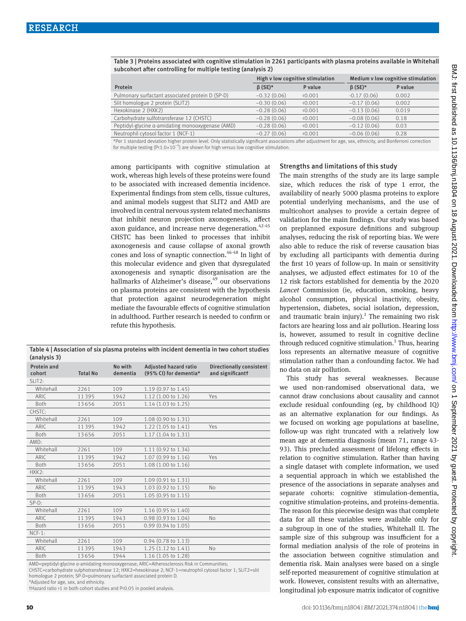|                                                  | High v low cognitive stimulation |                 | Medium v low cognitive stimulation                                              |              |  |
|--------------------------------------------------|----------------------------------|-----------------|---------------------------------------------------------------------------------|--------------|--|
| Protein                                          | $\beta$ (SE)*                    | P value         | $\beta$ (SE)*                                                                   | P value      |  |
| Pulmonary surfactant associated protein D (SP-D) | $-0.32(0.06)$                    | $\langle 0.001$ | $-0.17(0.06)$                                                                   | 0.002        |  |
| Slit homologue 2 protein (SLIT2)                 | $-0.30(0.06)$                    | (0.001)         | $-0.17(0.06)$                                                                   | 0.002        |  |
| Hexokinase 2 (HXK2)                              | $-0.28(0.06)$                    | 0.001           | $-0.13(0.06)$                                                                   | 0.019        |  |
| Carbohydrate sulfotransferase 12 (CHSTC)         | $-0.28(0.06)$                    | 0.001           | $-0.08(0.06)$                                                                   | 0.18         |  |
| Peptidyl-glycine a-amidating monooxygenase (AMD) | $-0.28(0.06)$                    | (0.001)         | $-0.12(0.06)$                                                                   | 0.03         |  |
| Neutrophil cytosol factor 1 (NCF-1)              | $-0.27(0.06)$                    | 0.001           | $-0.06(0.06)$                                                                   | 0.28         |  |
|                                                  |                                  |                 | the contract of the contract of the contract of the contract of the contract of | $\mathbf{r}$ |  |

Table 3 | Proteins associated with cognitive stimulation in 2261 participants with plasma proteins available in Whitehall subcohort after controlling for multiple testing (analysis 2)

\*Per 1 standard deviation higher protein level. Only statistically significant associations after adjustment for age, sex, ethnicity, and Bonferroni correction for multiple testing (P< $1.0 \times 10^{-5}$ ) are shown for high versus low cognitive stimulation.

among participants with cognitive stimulation at work, whereas high levels of these proteins were found to be associated with increased dementia incidence. Experimental findings from stem cells, tissue cultures, and animal models suggest that SLIT2 and AMD are involved in central nervous system related mechanisms that inhibit neuron projection axonogenesis, affect axon guidance, and increase nerve degeneration. $42-45$ CHSTC has been linked to processes that inhibit axonogenesis and cause collapse of axonal growth cones and loss of synaptic connection.46-48 In light of this molecular evidence and given that dysregulated axonogenesis and synaptic disorganisation are the hallmarks of Alzheimer's disease,<sup>49</sup> our observations on plasma proteins are consistent with the hypothesis that protection against neurodegeneration might mediate the favourable effects of cognitive stimulation in adulthood. Further research is needed to confirm or refute this hypothesis.

Table 4 | Association of six plasma proteins with incident dementia in two cohort studies (analysis 3)

| (dildiySiS <i>3)</i>  |                 |                     |                                                                                                |                                                     |
|-----------------------|-----------------|---------------------|------------------------------------------------------------------------------------------------|-----------------------------------------------------|
| Protein and<br>cohort | <b>Total No</b> | No with<br>dementia | Adjusted hazard ratio<br>(95% CI) for dementia*                                                | <b>Directionally consistent</b><br>and significantt |
| SLIT2:                |                 |                     |                                                                                                |                                                     |
| Whitehall             | 2261            | 109                 | 1.19 (0.97 to 1.45)                                                                            |                                                     |
| ARIC                  | 11395           | 1942                | 1.12 (1.00 to 1.26)                                                                            | Yes                                                 |
| <b>Both</b>           | 13656           | 2051                | 1.14 (1.03 to 1.25)                                                                            |                                                     |
| CHSTC:                |                 |                     |                                                                                                |                                                     |
| Whitehall             | 2261            | 109                 | 1.08 (0.90 to 1.31)                                                                            |                                                     |
| ARIC                  | 11395           | 1942                | 1.22 (1.05 to 1.41)                                                                            | Yes                                                 |
| <b>Both</b>           | 13656           | 2051                | 1.17 (1.04 to 1.31)                                                                            |                                                     |
| AMD:                  |                 |                     |                                                                                                |                                                     |
| Whitehall             | 2261            | 109                 | 1.11 (0.92 to 1.34)                                                                            |                                                     |
| ARIC                  | 11395           | 1942                | 1.07 (0.99 to 1.16)                                                                            | Yes                                                 |
| <b>Both</b>           | 13656           | 2051                | 1.08 (1.00 to 1.16)                                                                            |                                                     |
| HXX2:                 |                 |                     |                                                                                                |                                                     |
| Whitehall             | 2261            | 109                 | 1.09 (0.91 to 1.31)                                                                            |                                                     |
| ARIC.                 | 11395           | 1943                | 1.03 (0.92 to 1.15)                                                                            | No                                                  |
| <b>Both</b>           | 13656           | 2051                | 1.05 (0.95 to 1.15)                                                                            |                                                     |
| $SP-D:$               |                 |                     |                                                                                                |                                                     |
| Whitehall             | 2261            | 109                 | 1.16 (0.95 to 1.40)                                                                            |                                                     |
| ARIC                  | 11395           | 1943                | 0.98 (0.93 to 1.04)                                                                            | <b>No</b>                                           |
| Both                  | 13656           | 2051                | 0.99 (0.94 to 1.05)                                                                            |                                                     |
| $NCF-1:$              |                 |                     |                                                                                                |                                                     |
| Whitehall             | 2261            | 109                 | $0.94$ (0.78 to 1.13)                                                                          |                                                     |
| <b>ARIC</b>           | 11395           | 1943                | 1.25 (1.12 to 1.41)                                                                            | No                                                  |
| Both                  | 13656           | 1944                | 1.16 (1.05 to 1.28)                                                                            |                                                     |
|                       |                 |                     | $AMD =$ pentidyl-glycine q-amidating monooxygenase: $ARIC = Atheroscleras$ isk in Communities: |                                                     |

AMD=peptidyl-glycine α-amidating monooxygenase; ARIC=Atherosclerosis Risk in Communities; CHSTC=carbohydrate sulphotransferase 12; HXK2=hexokinase 2; NCF-1=neutrophil cytosol factor 1; SLIT2=slit

homologue 2 protein; SP-D=pulmonary surfactant associated protein D.

\*Adjusted for age, sex, and ethnicity.

†Hazard ratio >1 in both cohort studies and P<0.05 in pooled analysis.

# Strengths and limitations of this study

The main strengths of the study are its large sample size, which reduces the risk of type 1 error, the availability of nearly 5000 plasma proteins to explore potential underlying mechanisms, and the use of multicohort analyses to provide a certain degree of validation for the main findings. Our study was based on preplanned exposure definitions and subgroup analyses, reducing the risk of reporting bias. We were also able to reduce the risk of reverse causation bias by excluding all participants with dementia during the first 10 years of follow-up. In main or sensitivity analyses, we adjusted effect estimates for 10 of the 12 risk factors established for dementia by the 2020 *Lancet* Commission (ie, education, smoking, heavy alcohol consumption, physical inactivity, obesity, hypertension, diabetes, social isolation, depression, and traumatic brain injury).<sup>1</sup> The remaining two risk factors are hearing loss and air pollution. Hearing loss is, however, assumed to result in cognitive decline through reduced cognitive stimulation.<sup>1</sup> Thus, hearing loss represents an alternative measure of cognitive stimulation rather than a confounding factor. We had no data on air pollution.

This study has several weaknesses. Because we used non-randomised observational data, we cannot draw conclusions about causality and cannot exclude residual confounding (eg, by childhood IQ) as an alternative explanation for our findings. As we focused on working age populations at baseline, follow-up was right truncated with a relatively low mean age at dementia diagnosis (mean 71, range 43- 93). This precluded assessment of lifelong effects in relation to cognitive stimulation. Rather than having a single dataset with complete information, we used a sequential approach in which we established the presence of the associations in separate analyses and separate cohorts: cognitive stimulation-dementia, cognitive stimulation-proteins, and proteins-dementia. The reason for this piecewise design was that complete data for all these variables were available only for a subgroup in one of the studies, Whitehall II. The sample size of this subgroup was insufficient for a formal mediation analysis of the role of proteins in the association between cognitive stimulation and dementia risk. Main analyses were based on a single self-reported measurement of cognitive stimulation at work. However, consistent results with an alternative, longitudinal job exposure matrix indicator of cognitive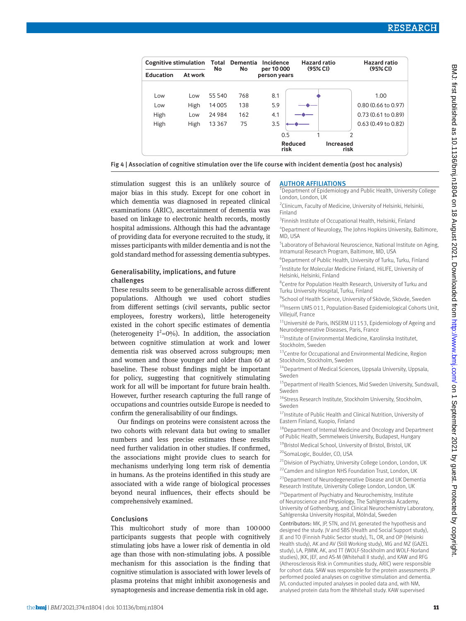| <b>Cognitive stimulation</b> |         | Total<br>No | <b>Dementia</b><br>No | Incidence                  | Hazard ratio        |                          | Hazard ratio<br>(95% CI)      |
|------------------------------|---------|-------------|-----------------------|----------------------------|---------------------|--------------------------|-------------------------------|
| <b>Education</b>             | At work |             |                       | per 10 000<br>person years | (95% <sub>C</sub> ) |                          |                               |
| Low                          | Low     | 55 540      | 768                   | 8.1                        |                     |                          | 1.00                          |
| Low                          | High    | 14 005      | 138                   | 5.9                        |                     |                          | 0.80 (0.66 to 0.97)           |
| High                         | Low     | 24 9 84     | 162                   | 4.1                        |                     |                          | $0.73(0.61 \text{ to } 0.89)$ |
| High                         | High    | 13 3 6 7    | 75                    | 3.5                        |                     |                          | 0.63 (0.49 to 0.82)           |
|                              |         |             |                       | 0.5                        | 1                   | $\mathcal{P}$            |                               |
|                              |         |             |                       | risk                       | Reduced             | <b>Increased</b><br>risk |                               |

Fig 4 | Association of cognitive stimulation over the life course with incident dementia (post hoc analysis)

stimulation suggest this is an unlikely source of major bias in this study. Except for one cohort in which dementia was diagnosed in repeated clinical examinations (ARIC), ascertainment of dementia was based on linkage to electronic health records, mostly hospital admissions. Although this had the advantage of providing data for everyone recruited to the study, it misses participants with milder dementia and is not the gold standard method for assessing dementia subtypes.

### Generalisability, implications, and future challenges

These results seem to be generalisable across different populations. Although we used cohort studies from different settings (civil servants, public sector employees, forestry workers), little heterogeneity existed in the cohort specific estimates of dementia (heterogeneity  $I^2=0\%$ ). In addition, the association between cognitive stimulation at work and lower dementia risk was observed across subgroups; men and women and those younger and older than 60 at baseline. These robust findings might be important for policy, suggesting that cognitively stimulating work for all will be important for future brain health. However, further research capturing the full range of occupations and countries outside Europe is needed to confirm the generalisability of our findings.

Our findings on proteins were consistent across the two cohorts with relevant data but owing to smaller numbers and less precise estimates these results need further validation in other studies. If confirmed, the associations might provide clues to search for mechanisms underlying long term risk of dementia in humans. As the proteins identified in this study are associated with a wide range of biological processes beyond neural influences, their effects should be comprehensively examined.

#### Conclusions

This multicohort study of more than 100000 participants suggests that people with cognitively stimulating jobs have a lower risk of dementia in old age than those with non-stimulating jobs. A possible mechanism for this association is the finding that cognitive stimulation is associated with lower levels of plasma proteins that might inhibit axonogenesis and synaptogenesis and increase dementia risk in old age.

#### AUTHOR AFFILIATIONS

1 Department of Epidemiology and Public Health, University College London, London, UK

<sup>2</sup> Clinicum, Faculty of Medicine, University of Helsinki, Helsinki, Finland

<sup>3</sup> Finnish Institute of Occupational Health, Helsinki, Finland 4 Department of Neurology, The Johns Hopkins University, Baltimore,

MD, USA

<sup>5</sup> Laboratory of Behavioral Neuroscience, National Institute on Aging, Intramural Research Program, Baltimore, MD, USA

6 Department of Public Health, University of Turku, Turku, Finland <sup>7</sup> Institute for Molecular Medicine Finland, HiLIFE, University of Helsinki, Helsinki, Finland

<sup>8</sup> Centre for Population Health Research, University of Turku and Turku University Hospital, Turku, Finland

9 School of Health Science, University of Skövde, Skövde, Sweden  $10$  Inserm UMS 011, Population-Based Epidemiological Cohorts Unit,

Villeiuif, France

<sup>11</sup>Université de Paris, INSERM U1153, Epidemiology of Ageing and Neurodegenerative Diseases, Paris, France

 $12$ Institute of Environmental Medicine, Karolinska Institutet, Stockholm, Sweden

 $^{13}$ Centre for Occupational and Environmental Medicine, Region Stockholm, Stockholm, Sweden

<sup>14</sup>Department of Medical Sciences, Uppsala University, Uppsala, Sweden

 $^{15}$ Department of Health Sciences, Mid Sweden University, Sundsvall, Sweden

<sup>16</sup>Stress Research Institute, Stockholm University, Stockholm, Sweden

<sup>17</sup> Institute of Public Health and Clinical Nutrition, University of Eastern Finland, Kuopio, Finland

18Department of Internal Medicine and Oncology and Department of Public Health, Semmelweis University, Budapest, Hungary

<sup>19</sup>Bristol Medical School, University of Bristol, Bristol, UK

<sup>20</sup>SomaLogic, Boulder, CO, USA

<sup>21</sup>Division of Psychiatry, University College London, London, UK 22Camden and Islington NHS Foundation Trust, London, UK

23Department of Neurodegenerative Disease and UK Dementia Research Institute, University College London, London, UK

<sup>24</sup>Department of Psychiatry and Neurochemistry, Institute of Neuroscience and Physiology, The Sahlgrenska Academy, University of Gothenburg, and Clinical Neurochemistry Laboratory, Sahlgrenska University Hospital, Mölndal, Sweden

Contributors: MK, JP, STN, and JVL generated the hypothesis and designed the study. JV and SBS (Health and Social Support study), JE and TO (Finnish Public Sector study), TL, OR, and OP (Helsinki Health study), AK and AV (Still Working study), MG and MZ (GAZEL study), LA, PIMW, AK, and TT (WOLF-Stockholm and WOLF-Norland studies), JKK, JEF, and AS-M (Whitehall II study), and KAW and RFG (Atherosclerosis Risk in Communities study, ARIC) were responsible for cohort data. SAW was responsible for the protein assessments. JP performed pooled analyses on cognitive stimulation and dementia. JVL conducted imputed analyses in pooled data and, with NM, analysed protein data from the Whitehall study. KAW supervised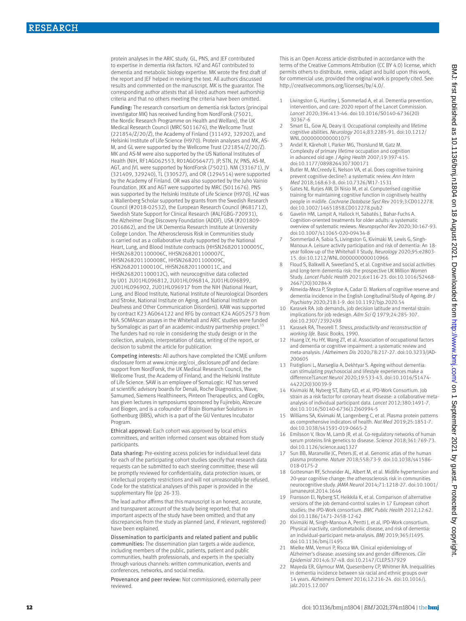protein analyses in the ARIC study. GL, PNS, and JEF contributed to expertise in dementia risk factors. HZ and AGT contributed to dementia and metabolic biology expertise. MK wrote the first draft of the report and JEF helped in revising the text. All authors discussed results and commented on the manuscript. MK is the guarantor. The corresponding author attests that all listed authors meet authorship criteria and that no others meeting the criteria have been omitted.

Funding: The research consortium on dementia risk factors (principal investigator MK) has received funding from NordForsk (75021, the Nordic Research Programme on Health and Welfare), the UK Medical Research Council (MRC S011676), the Wellcome Trust (221854/Z/20/Z), the Academy of Finland (311492, 329202), and Helsinki Institute of Life Science (H970). Protein analyses and MK, AS-M, and GL were supported by the Wellcome Trust (221854/Z/20/Z). MK and AS-M were also supported by the US National Institutes of Health (NIH, RF1AG062553, R01AG056477). JP, STN, JV, PNS, AS-M, AGT, and JVL were supported by NordForsk (75021). NM (331671), JV (321409, 329240), TL (330527), and OR (1294514) were supported by the Academy of Finland. OR was also supported by the Juho Vainio Foundation. JKK and AGT were supported by MRC (S011676). PNS was supported by the Helsinki Institute of Life Science (H970). HZ was a Wallenberg Scholar supported by grants from the Swedish Research Council (#2018-02532), the European Research Council (#681712), Swedish State Support for Clinical Research (#ALFGBG-720931), the Alzheimer Drug Discovery Foundation (ADDF), USA (#201809- 2016862), and the UK Dementia Research Institute at University College London. The Atherosclerosis Risk in Communities study is carried out as a collaborative study supported by the National Heart, Lung, and Blood Institute contracts (HHSN268201100005C, HHSN268201100006C, HHSN268201100007C, HHSN268201100008C, HHSN268201100009C, HSN268201100010C, HHSN268201100011C, and HHSN268201100012C), with neurocognitive data collected by U01 2U01HL096812, 2U01HL096814, 2U01HL096899, 2U01HL096902, 2U01HL096917 from the NIH (National Heart, Lung, and Blood Institute, National Institute of Neurological Disorders and Stroke, National Institute on Aging, and National Institute on Deafness and Other Communication Disorders). KAW was supported by contract K23 AG064122 and RFG by contract K24 AG052573 from NIA. SOMAscan assays in the Whitehall and ARIC studies were funded by Somalogic as part of an academic-industry partnership project.<sup>1</sup> The funders had no role in considering the study design or in the collection, analysis, interpretation of data, writing of the report, or decision to submit the article for publication.

Competing interests: All authors have completed the ICMJE uniform disclosure form at [www.icmje.org/coi\\_disclosure.pdf](http://www.icmje.org/coi_disclosure.pdf) and declare: support from NordForsk, the UK Medical Research Council, the Wellcome Trust, the Academy of Finland, and the Helsinki Institute of Life Science. SAW is an employee of SomaLogic. HZ has served at scientific advisory boards for Denali, Roche Diagnostics, Wave, Samumed, Siemens Healthineers, Pinteon Therapeutics, and CogRx, has given lectures in symposiums sponsored by Fujirebio, Alzecure and Biogen, and is a cofounder of Brain Biomarker Solutions in Gothenburg (BBS), which is a part of the GU Ventures Incubator Program.

Ethical approval: Each cohort was approved by local ethics committees, and written informed consent was obtained from study participants.

Data sharing: Pre-existing access policies for individual level data for each of the participating cohort studies specify that research data requests can be submitted to each steering committee; these will be promptly reviewed for confidentiality, data protection issues, or intellectual property restrictions and will not unreasonably be refused. Code for the statistical analyses of this paper is provided in the supplementary file (pp 26-33).

The lead author affirms that this manuscript is an honest, accurate, and transparent account of the study being reported; that no important aspects of the study have been omitted; and that any discrepancies from the study as planned (and, if relevant, registered) have been explained.

Dissemination to participants and related patient and public communities: The dissemination plan targets a wide audience, including members of the public, patients, patient and public communities, health professionals, and experts in the specialty through various channels: written communication, events and conferences, networks, and social media.

Provenance and peer review: Not commissioned; externally peer reviewed.

This is an Open Access article distributed in accordance with the terms of the Creative Commons Attribution (CC BY 4.0) license, which permits others to distribute, remix, adapt and build upon this work, for commercial use, provided the original work is properly cited. See: <http://creativecommons.org/licenses/by/4.0/>.

- 1 Livingston G, Huntley J, Sommerlad A, et al. Dementia prevention, intervention, and care: 2020 report of the Lancet Commission. *Lancet* 2020;396:413-46. doi:10.1016/S0140-6736(20) 30367-6
- 2 Smart EL, Gow AJ, Deary IJ. Occupational complexity and lifetime cognitive abilities. *Neurology* 2014;83:2285-91. doi:10.1212/ WNL.0000000000001075
- Andel R, Kåreholt I, Parker MG, Thorslund M, Gatz M. Complexity of primary lifetime occupation and cognition in advanced old age. *J Aging Health* 2007;19:397-415. doi:10.1177/0898264307300171
- Butler M, McCreedy E, Nelson VA, et al. Does cognitive training prevent cognitive decline?: a systematic review. *Ann Intern Med* 2018;168:63-8. doi:10.7326/M17-1531
- 5 Gates NJ, Rutjes AW, Di Nisio M, et al. Computerised cognitive training for maintaining cognitive function in cognitively healthy people in midlife. *Cochrane Database Syst Rev* 2019;3:CD012278. doi:10.1002/14651858.CD012278.pub2
- 6 Gavelin HM, Lampit A, Hallock H, Sabatés J, Bahar-Fuchs A. Cognition-oriented treatments for older adults: a systematic overview of systematic reviews. *Neuropsychol Rev* 2020;30:167-93. doi:10.1007/s11065-020-09434-8
- 7 Sommerlad A, Sabia S, Livingston G, Kivimäki M, Lewis G, Singh-Manoux A. Leisure activity participation and risk of dementia: An 18 year follow-up of the Whitehall II Study. *Neurology* 2020;95:e2803- 15. doi:10.1212/WNL.0000000000010966
- 8 Floud S, Balkwill A, Sweetland S, et al. Cognitive and social activities and long-term dementia risk: the prospective UK Million Women Study. *Lancet Public Health* 2021;6:e116-23. doi:10.1016/S2468- 2667(20)30284-X
- Almeida-Meza P, Steptoe A, Cadar D. Markers of cognitive reserve and dementia incidence in the English Longitudinal Study of Ageing. *Br J Psychiatry* 2020;218:1-9. doi:10.1192/bjp.2020.54
- 10 Karasek RA. Job demands, job decision latitude and mental strain: implications for job redesign. *Adm Sci Q* 1979;24:285-307. doi:10.2307/2392498
- 11 Karasek RA, Theorell T. *Stress, productivity and reconstruction of working life.* Basic Books, 1990.
- 12 Huang LY, Hu HY, Wang ZT, et al. Association of occupational factors and dementia or cognitive impairment: a systematic review and meta-analysis. *J Alzheimers Dis* 2020;78:217-27. doi:10.3233/JAD-200605
- 13 Fratiglioni L, Marseglia A, Dekhtyar S. Ageing without dementia: can stimulating psychosocial and lifestyle experiences make a difference?*Lancet Neurol* 2020;19:533-43. doi:10.1016/S1474- 4422(20)30039-9
- 14 Kivimäki M, Nyberg ST, Batty GD, et al, IPD-Work Consortium. Job strain as a risk factor for coronary heart disease: a collaborative metaanalysis of individual participant data. *Lancet* 2012;380:1491-7. doi:10.1016/S0140-6736(12)60994-5
- 15 Williams SA, Kivimaki M, Langenberg C, et al. Plasma protein patterns as comprehensive indicators of health. *Nat Med* 2019;25:1851-7. doi:10.1038/s41591-019-0665-2
- 16 Emilsson V, Ilkov M, Lamb JR, et al. Co-regulatory networks of human serum proteins link genetics to disease. *Science* 2018;361:769-73. doi:10.1126/science.aaq1327
- 17 Sun BB, Maranville JC, Peters JE, et al. Genomic atlas of the human plasma proteome. *Nature* 2018;558:73-9. doi:10.1038/s41586- 018-0175-2
- 18 Gottesman RF, Schneider AL, Albert M, et al. Midlife hypertension and 20-year cognitive change: the atherosclerosis risk in communities neurocognitive study. *JAMA Neurol* 2014;71:1218-27. doi:10.1001/ jamaneurol.2014.1646
- 19 Fransson EI, Nyberg ST, Heikkilä K, et al. Comparison of alternative versions of the job demand-control scales in 17 European cohort studies: the IPD-Work consortium. *BMC Public Health* 2012;12:62. doi:10.1186/1471-2458-12-62
- 20 Kivimäki M, Singh-Manoux A, Pentti J, et al, IPD-Work consortium. Physical inactivity, cardiometabolic disease, and risk of dementia: an individual-participant meta-analysis. *BMJ* 2019;365:l1495. doi:10.1136/bmj.l1495
- 21 Mielke MM, Vemuri P, Rocca WA. Clinical epidemiology of Alzheimer's disease: assessing sex and gender differences. *Clin Epidemiol* 2014;6:37-48. doi:10.2147/CLEP.S37929
- 22 Mayeda ER, Glymour MM, Quesenberry CP, Whitmer RA. Inequalities in dementia incidence between six racial and ethnic groups over 14 years. *Alzheimers Dement* 2016;12:216-24. doi:10.1016/j. jalz.2015.12.007